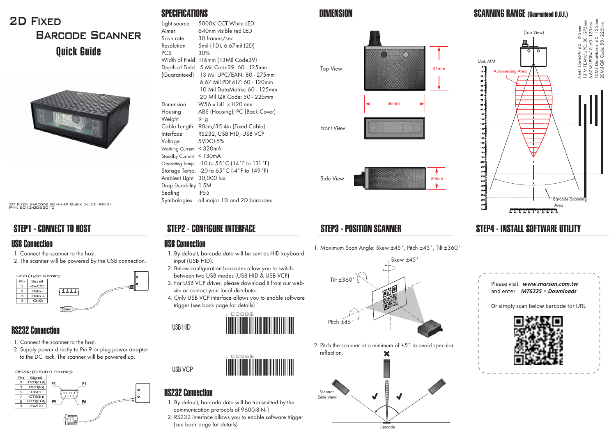# 2D Fixed Barcode ScannerQuick Guide



2D Fixed Barcode Scanner Quick Guide (Rev3) P/N: 8013-0055010

# STEP1 - CONNECT TO HOST

1. Connect the scanner to the host.

2. The scanner will be powered by the USB connection.



#### RS232 Connection

- 1. Connect the scanner to the host.
- 2. Supply power directly to Pin 9 or plug power adapter to the DC Jack. The scanner will be powered up.

| Pin | Signal     | RS232 (D-Sub 9 Female): |    |
|-----|------------|-------------------------|----|
|     | TXD(Out)   | P5<br>P1                |    |
| 3   | RXD(ln)    |                         |    |
| 5   | <b>GND</b> |                         | lo |
|     | CTS(ln)    |                         | lo |
| 8   | RTS(Out)   | P9<br>P <sub>6</sub>    |    |
| 9   | $+5$ VCC   |                         |    |
|     |            |                         |    |
|     |            |                         |    |

#### SPECIFICATIONS

| Light source           | 5000K CCT White LED                                           |
|------------------------|---------------------------------------------------------------|
| Aimer                  | 640nm visible red LED                                         |
| Scan rate              | 30 frames/sec                                                 |
| Resolution             | 5mil (1D), 6.67mil (2D)                                       |
| PCS.                   | 30%                                                           |
| Width of Field         | 116mm (13Mil Code39)                                          |
| Depth of Field         | 5 Mil Code39: 60 - 125mm                                      |
| (Guaranteed)           | 13 Mil UPC/EAN: 80 - 275mm                                    |
|                        | 6.67 Mil PDF417: 60 - 120mm                                   |
|                        | 10 Mil DataMatrix: 60 - 125mm                                 |
|                        | 20 Mil QR Code: 50 - 225mm                                    |
| Dimension              | W56 x L41 x H20 mm                                            |
| Housing                | ABS (Housing), PC (Back Cover)                                |
| Weight                 | 91 g                                                          |
| Cable Length           | 90cm/35.4in (Fixed Cable)                                     |
| Interface              | RS232, USB HID, USB VCP                                       |
| Voltage                | 5VDC±5%                                                       |
| <b>Working Current</b> | $<$ 320 $mA$                                                  |
| <b>Standby Current</b> | $<$ 130 $mA$                                                  |
| Operating Temp.        | $-10$ to $55^{\circ}$ C (14 $^{\circ}$ F to 131 $^{\circ}$ F) |
| Storage Temp.          | -20 to 65°C (-4°F to 149°F)                                   |
| Ambient Light          | 30,000 lux                                                    |
| <b>Drop Durability</b> | 1.5M                                                          |
| Sealing                | IP <sub>55</sub>                                              |
| Symbologies            | all major 1D and 2D barcodes                                  |

## STEP2 - CONFIGURE INTERFACE STEP3 - POSITION SCANNER

#### USB Connection USB Connection

- 1. By default, barcode data will be sent as HID keyboard input (USB HID).
- 2. Below configuration barcodes allow you to switch between two USB modes (USB HID & USB VCP)
- 3. For USB VCP driver, please download it from our web site or contact your local distributor.
- 4. Only USB VCP interface allows you to enable software trigger (see back page for details)





#### RS232 Connection

**USB VCP**

**USB HID**

- 1. By default, barcode data will be transmitted by the communication protocols of 9600-8-N-1
- 2. RS232 interface allows you to enable software trigger (see back page for details)







 Scanner (Side View)

1. Maximum Scan Angle: Skew ±45°, Pitch ±45°, Tilt ±360°



Barcode

 $\overline{\blacklozenge}$ 

J





## STEP4 - INSTALL SOFTWARE UTILITY